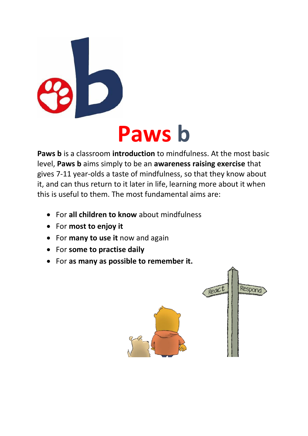

# **Paws b**

**Paws b** is a classroom **introduction** to mindfulness. At the most basic level, **Paws b** aims simply to be an **awareness raising exercise** that gives 7-11 year-olds a taste of mindfulness, so that they know about it, and can thus return to it later in life, learning more about it when this is useful to them. The most fundamental aims are:

- For **all children to know** about mindfulness
- For **most to enjoy it**
- For **many to use it** now and again
- For **some to practise daily**
- For **as many as possible to remember it.**

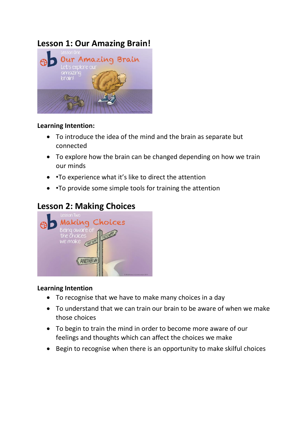## **Lesson 1: Our Amazing Brain!**



#### **Learning Intention:**

- To introduce the idea of the mind and the brain as separate but connected
- To explore how the brain can be changed depending on how we train our minds
- •To experience what it's like to direct the attention
- •To provide some simple tools for training the attention

## **Lesson 2: Making Choices**



- To recognise that we have to make many choices in a day
- To understand that we can train our brain to be aware of when we make those choices
- To begin to train the mind in order to become more aware of our feelings and thoughts which can affect the choices we make
- Begin to recognise when there is an opportunity to make skilful choices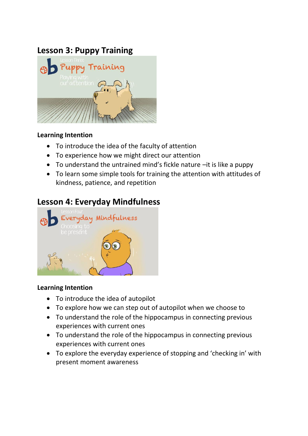## **Lesson 3: Puppy Training**



#### **Learning Intention**

- To introduce the idea of the faculty of attention
- To experience how we might direct our attention
- To understand the untrained mind's fickle nature –it is like a puppy
- To learn some simple tools for training the attention with attitudes of kindness, patience, and repetition

## **Lesson 4: Everyday Mindfulness**



- To introduce the idea of autopilot
- To explore how we can step out of autopilot when we choose to
- To understand the role of the hippocampus in connecting previous experiences with current ones
- To understand the role of the hippocampus in connecting previous experiences with current ones
- To explore the everyday experience of stopping and 'checking in' with present moment awareness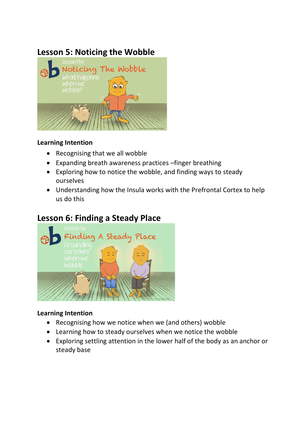## **Lesson 5: Noticing the Wobble**



#### **Learning Intention**

- Recognising that we all wobble
- Expanding breath awareness practices –finger breathing
- Exploring how to notice the wobble, and finding ways to steady ourselves
- Understanding how the Insula works with the Prefrontal Cortex to help us do this

## **Lesson 6: Finding a Steady Place**



- Recognising how we notice when we (and others) wobble
- Learning how to steady ourselves when we notice the wobble
- Exploring settling attention in the lower half of the body as an anchor or steady base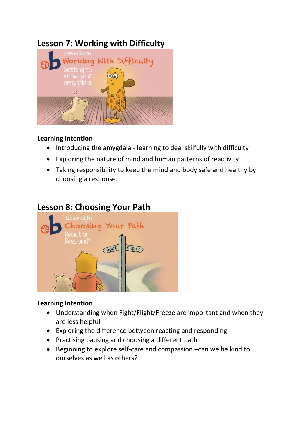## **Lesson 7: Working with Difficulty**



#### **Learning Intention**

- Introducing the amygdala learning to deal skilfully with difficulty
- Exploring the nature of mind and human patterns of reactivity
- Taking responsibility to keep the mind and body safe and healthy by choosing a response.

## **Lesson 8: Choosing Your Path**



- Understanding when Fight/Flight/Freeze are important and when they are less helpful
- Exploring the difference between reacting and responding
- Practising pausing and choosing a different path
- Beginning to explore self-care and compassion –can we be kind to ourselves as well as others?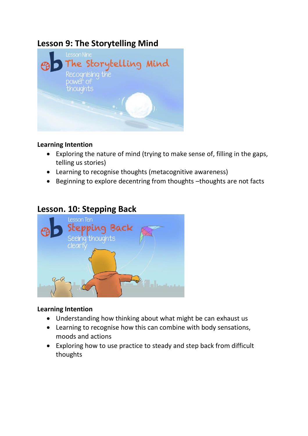## **Lesson 9: The Storytelling Mind**



#### **Learning Intention**

- Exploring the nature of mind (trying to make sense of, filling in the gaps, telling us stories)
- Learning to recognise thoughts (metacognitive awareness)
- Beginning to explore decentring from thoughts –thoughts are not facts

## **Lesson. 10: Stepping Back**



- Understanding how thinking about what might be can exhaust us
- Learning to recognise how this can combine with body sensations, moods and actions
- Exploring how to use practice to steady and step back from difficult thoughts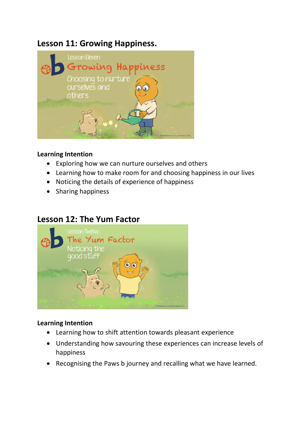## **Lesson 11: Growing Happiness.**



#### **Learning Intention**

- Exploring how we can nurture ourselves and others
- Learning how to make room for and choosing happiness in our lives
- Noticing the details of experience of happiness
- Sharing happiness

### **Lesson 12: The Yum Factor**



- Learning how to shift attention towards pleasant experience
- Understanding how savouring these experiences can increase levels of happiness
- Recognising the Paws b journey and recalling what we have learned.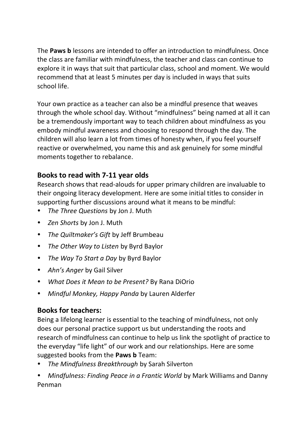The **Paws b** lessons are intended to offer an introduction to mindfulness. Once the class are familiar with mindfulness, the teacher and class can continue to explore it in ways that suit that particular class, school and moment. We would recommend that at least 5 minutes per day is included in ways that suits school life.

Your own practice as a teacher can also be a mindful presence that weaves through the whole school day. Without "mindfulness" being named at all it can be a tremendously important way to teach children about mindfulness as you embody mindful awareness and choosing to respond through the day. The children will also learn a lot from times of honesty when, if you feel yourself reactive or overwhelmed, you name this and ask genuinely for some mindful moments together to rebalance.

#### **Books to read with 7-11 year olds**

Research shows that read-alouds for upper primary children are invaluable to their ongoing literacy development. Here are some initial titles to consider in supporting further discussions around what it means to be mindful:

- *The Three Questions* by Jon J. Muth
- *Zen Shorts* by Jon J. Muth
- *The Quiltmaker's Gift* by Jeff Brumbeau
- *The Other Way to Listen* by Byrd Baylor
- *The Way To Start a Day* by Byrd Baylor
- *Ahn's Anger* by Gail Silver
- *What Does it Mean to be Present?* By Rana DiOrio
- *Mindful Monkey, Happy Panda* by Lauren Alderfer

#### **Books for teachers:**

Being a lifelong learner is essential to the teaching of mindfulness, not only does our personal practice support us but understanding the roots and research of mindfulness can continue to help us link the spotlight of practice to the everyday "life light" of our work and our relationships. Here are some suggested books from the **Paws b** Team:

- *The Mindfulness Breakthrough* by Sarah Silverton
- *Mindfulness: Finding Peace in a Frantic World* by Mark Williams and Danny Penman